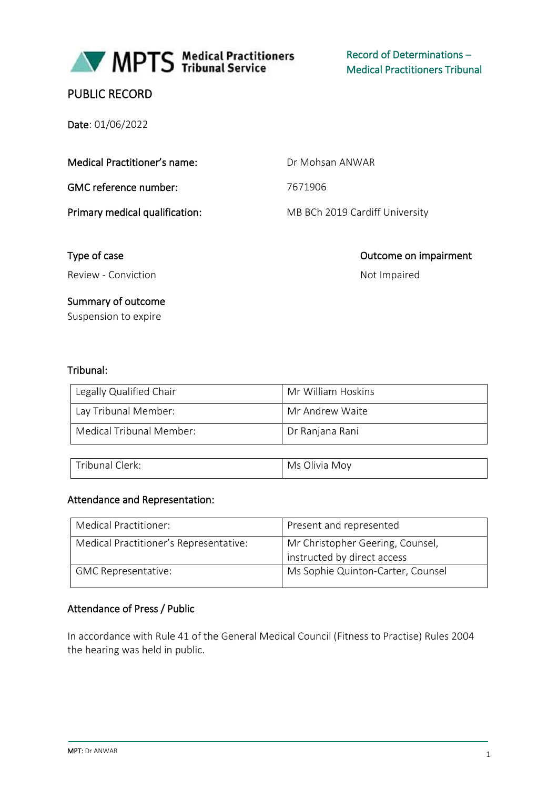

MPTS Medical Practitioners

Record of Determinations – Medical Practitioners Tribunal

# PUBLIC RECORD

Date: 01/06/2022

Medical Practitioner's name: Dr Mohsan ANWAR

GMC reference number: 7671906

Primary medical qualification: MB BCh 2019 Cardiff University

Review - Conviction Not Impaired

# Summary of outcome

Suspension to expire

# Tribunal:

| Legally Qualified Chair  | Mr William Hoskins |
|--------------------------|--------------------|
| Lay Tribunal Member:     | Mr Andrew Waite    |
| Medical Tribunal Member: | Dr Ranjana Rani    |

Type of case **Outcome on impairment** 

| $ \cdot$ $\cdot$ | Olivia |
|------------------|--------|
| lerk:            | Mov    |
| ' ribunai J      | Ms     |
|                  |        |

## Attendance and Representation:

| Medical Practitioner:                  | Present and represented                                         |
|----------------------------------------|-----------------------------------------------------------------|
| Medical Practitioner's Representative: | Mr Christopher Geering, Counsel,<br>instructed by direct access |
| <b>GMC Representative:</b>             | Ms Sophie Quinton-Carter, Counsel                               |

## Attendance of Press / Public

In accordance with Rule 41 of the General Medical Council (Fitness to Practise) Rules 2004 the hearing was held in public.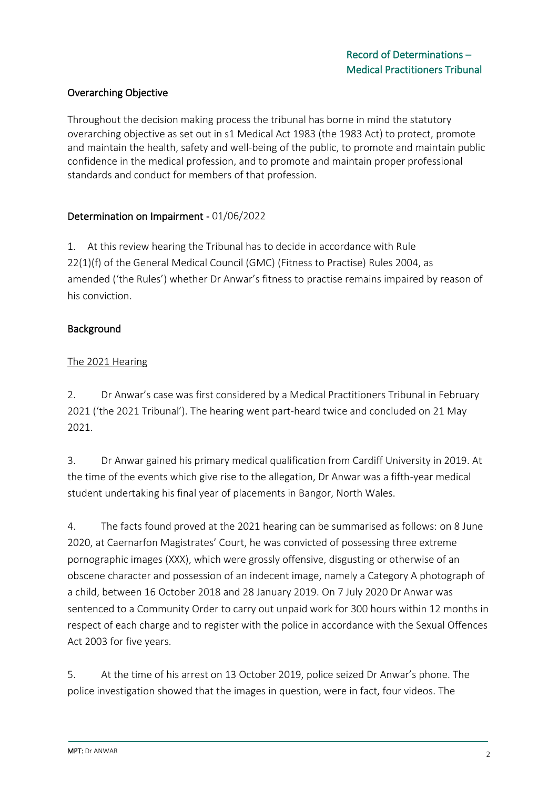# Overarching Objective

Throughout the decision making process the tribunal has borne in mind the statutory overarching objective as set out in s1 Medical Act 1983 (the 1983 Act) to protect, promote and maintain the health, safety and well-being of the public, to promote and maintain public confidence in the medical profession, and to promote and maintain proper professional standards and conduct for members of that profession.

# Determination on Impairment - 01/06/2022

1. At this review hearing the Tribunal has to decide in accordance with Rule 22(1)(f) of the General Medical Council (GMC) (Fitness to Practise) Rules 2004, as amended ('the Rules') whether Dr Anwar's fitness to practise remains impaired by reason of his conviction.

# Background

# The 2021 Hearing

2. Dr Anwar's case was first considered by a Medical Practitioners Tribunal in February 2021 ('the 2021 Tribunal'). The hearing went part-heard twice and concluded on 21 May 2021.

3. Dr Anwar gained his primary medical qualification from Cardiff University in 2019. At the time of the events which give rise to the allegation, Dr Anwar was a fifth-year medical student undertaking his final year of placements in Bangor, North Wales.

4. The facts found proved at the 2021 hearing can be summarised as follows: on 8 June 2020, at Caernarfon Magistrates' Court, he was convicted of possessing three extreme pornographic images (XXX), which were grossly offensive, disgusting or otherwise of an obscene character and possession of an indecent image, namely a Category A photograph of a child, between 16 October 2018 and 28 January 2019. On 7 July 2020 Dr Anwar was sentenced to a Community Order to carry out unpaid work for 300 hours within 12 months in respect of each charge and to register with the police in accordance with the Sexual Offences Act 2003 for five years.

5. At the time of his arrest on 13 October 2019, police seized Dr Anwar's phone. The police investigation showed that the images in question, were in fact, four videos. The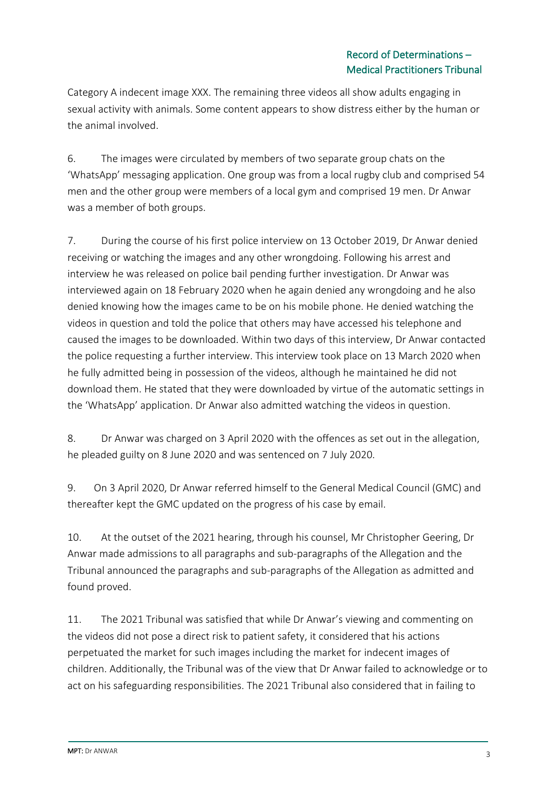Category A indecent image XXX. The remaining three videos all show adults engaging in sexual activity with animals. Some content appears to show distress either by the human or the animal involved.

6. The images were circulated by members of two separate group chats on the 'WhatsApp' messaging application. One group was from a local rugby club and comprised 54 men and the other group were members of a local gym and comprised 19 men. Dr Anwar was a member of both groups.

7. During the course of his first police interview on 13 October 2019, Dr Anwar denied receiving or watching the images and any other wrongdoing. Following his arrest and interview he was released on police bail pending further investigation. Dr Anwar was interviewed again on 18 February 2020 when he again denied any wrongdoing and he also denied knowing how the images came to be on his mobile phone. He denied watching the videos in question and told the police that others may have accessed his telephone and caused the images to be downloaded. Within two days of this interview, Dr Anwar contacted the police requesting a further interview. This interview took place on 13 March 2020 when he fully admitted being in possession of the videos, although he maintained he did not download them. He stated that they were downloaded by virtue of the automatic settings in the 'WhatsApp' application. Dr Anwar also admitted watching the videos in question.

8. Dr Anwar was charged on 3 April 2020 with the offences as set out in the allegation, he pleaded guilty on 8 June 2020 and was sentenced on 7 July 2020.

9. On 3 April 2020, Dr Anwar referred himself to the General Medical Council (GMC) and thereafter kept the GMC updated on the progress of his case by email.

10. At the outset of the 2021 hearing, through his counsel, Mr Christopher Geering, Dr Anwar made admissions to all paragraphs and sub-paragraphs of the Allegation and the Tribunal announced the paragraphs and sub-paragraphs of the Allegation as admitted and found proved.

11. The 2021 Tribunal was satisfied that while Dr Anwar's viewing and commenting on the videos did not pose a direct risk to patient safety, it considered that his actions perpetuated the market for such images including the market for indecent images of children. Additionally, the Tribunal was of the view that Dr Anwar failed to acknowledge or to act on his safeguarding responsibilities. The 2021 Tribunal also considered that in failing to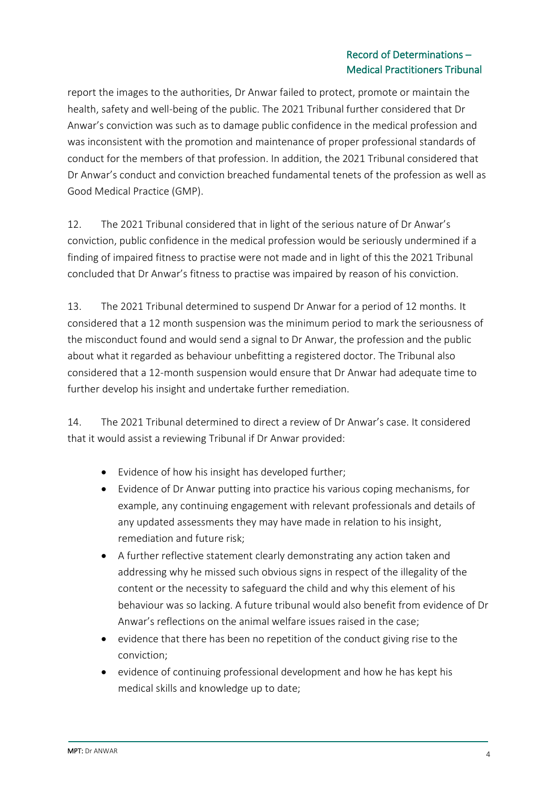report the images to the authorities, Dr Anwar failed to protect, promote or maintain the health, safety and well-being of the public. The 2021 Tribunal further considered that Dr Anwar's conviction was such as to damage public confidence in the medical profession and was inconsistent with the promotion and maintenance of proper professional standards of conduct for the members of that profession. In addition, the 2021 Tribunal considered that Dr Anwar's conduct and conviction breached fundamental tenets of the profession as well as Good Medical Practice (GMP).

12. The 2021 Tribunal considered that in light of the serious nature of Dr Anwar's conviction, public confidence in the medical profession would be seriously undermined if a finding of impaired fitness to practise were not made and in light of this the 2021 Tribunal concluded that Dr Anwar's fitness to practise was impaired by reason of his conviction.

13. The 2021 Tribunal determined to suspend Dr Anwar for a period of 12 months. It considered that a 12 month suspension was the minimum period to mark the seriousness of the misconduct found and would send a signal to Dr Anwar, the profession and the public about what it regarded as behaviour unbefitting a registered doctor. The Tribunal also considered that a 12-month suspension would ensure that Dr Anwar had adequate time to further develop his insight and undertake further remediation.

14. The 2021 Tribunal determined to direct a review of Dr Anwar's case. It considered that it would assist a reviewing Tribunal if Dr Anwar provided:

- Evidence of how his insight has developed further;
- Evidence of Dr Anwar putting into practice his various coping mechanisms, for example, any continuing engagement with relevant professionals and details of any updated assessments they may have made in relation to his insight, remediation and future risk;
- A further reflective statement clearly demonstrating any action taken and addressing why he missed such obvious signs in respect of the illegality of the content or the necessity to safeguard the child and why this element of his behaviour was so lacking. A future tribunal would also benefit from evidence of Dr Anwar's reflections on the animal welfare issues raised in the case;
- evidence that there has been no repetition of the conduct giving rise to the conviction;
- evidence of continuing professional development and how he has kept his medical skills and knowledge up to date;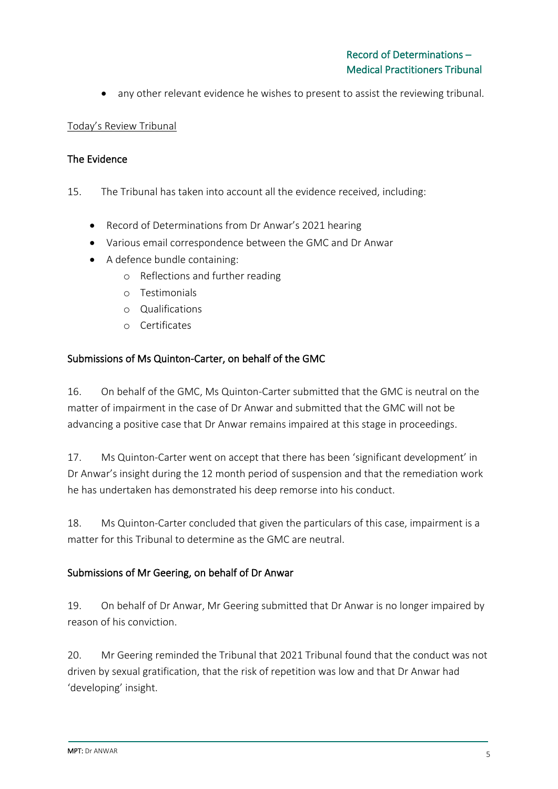• any other relevant evidence he wishes to present to assist the reviewing tribunal.

## Today's Review Tribunal

## The Evidence

15. The Tribunal has taken into account all the evidence received, including:

- Record of Determinations from Dr Anwar's 2021 hearing
- Various email correspondence between the GMC and Dr Anwar
- A defence bundle containing:
	- o Reflections and further reading
	- o Testimonials
	- o Qualifications
	- o Certificates

# Submissions of Ms Quinton-Carter, on behalf of the GMC

16. On behalf of the GMC, Ms Quinton-Carter submitted that the GMC is neutral on the matter of impairment in the case of Dr Anwar and submitted that the GMC will not be advancing a positive case that Dr Anwar remains impaired at this stage in proceedings.

17. Ms Quinton-Carter went on accept that there has been 'significant development' in Dr Anwar's insight during the 12 month period of suspension and that the remediation work he has undertaken has demonstrated his deep remorse into his conduct.

18. Ms Quinton-Carter concluded that given the particulars of this case, impairment is a matter for this Tribunal to determine as the GMC are neutral.

## Submissions of Mr Geering, on behalf of Dr Anwar

19. On behalf of Dr Anwar, Mr Geering submitted that Dr Anwar is no longer impaired by reason of his conviction.

20. Mr Geering reminded the Tribunal that 2021 Tribunal found that the conduct was not driven by sexual gratification, that the risk of repetition was low and that Dr Anwar had 'developing' insight.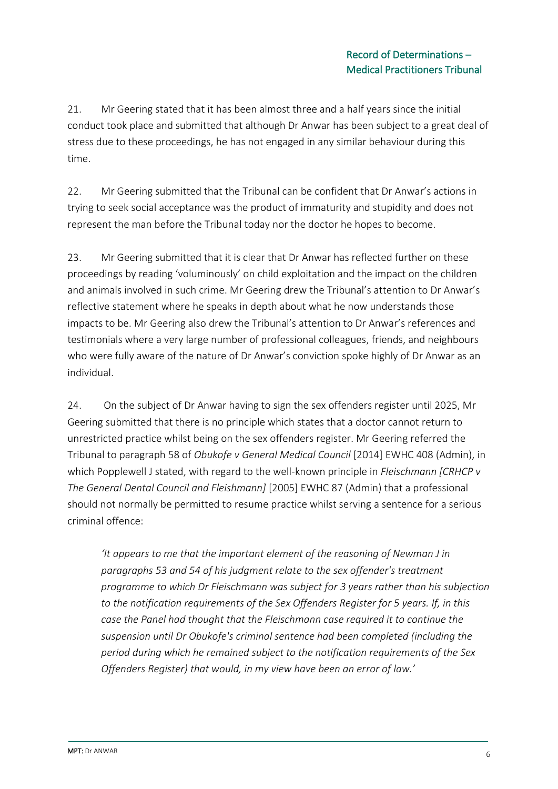21. Mr Geering stated that it has been almost three and a half years since the initial conduct took place and submitted that although Dr Anwar has been subject to a great deal of stress due to these proceedings, he has not engaged in any similar behaviour during this time.

22. Mr Geering submitted that the Tribunal can be confident that Dr Anwar's actions in trying to seek social acceptance was the product of immaturity and stupidity and does not represent the man before the Tribunal today nor the doctor he hopes to become.

23. Mr Geering submitted that it is clear that Dr Anwar has reflected further on these proceedings by reading 'voluminously' on child exploitation and the impact on the children and animals involved in such crime. Mr Geering drew the Tribunal's attention to Dr Anwar's reflective statement where he speaks in depth about what he now understands those impacts to be. Mr Geering also drew the Tribunal's attention to Dr Anwar's references and testimonials where a very large number of professional colleagues, friends, and neighbours who were fully aware of the nature of Dr Anwar's conviction spoke highly of Dr Anwar as an individual.

24. On the subject of Dr Anwar having to sign the sex offenders register until 2025, Mr Geering submitted that there is no principle which states that a doctor cannot return to unrestricted practice whilst being on the sex offenders register. Mr Geering referred the Tribunal to paragraph 58 of *Obukofe v General Medical Council* [2014] EWHC 408 (Admin), in which Popplewell J stated, with regard to the well-known principle in *Fleischmann [CRHCP v The General Dental Council and Fleishmann]* [2005] EWHC 87 (Admin) that a professional should not normally be permitted to resume practice whilst serving a sentence for a serious criminal offence:

*'It appears to me that the important element of the reasoning of Newman J in paragraphs 53 and 54 of his judgment relate to the sex offender's treatment programme to which Dr Fleischmann was subject for 3 years rather than his subjection to the notification requirements of the Sex Offenders Register for 5 years. If, in this case the Panel had thought that the Fleischmann case required it to continue the suspension until Dr Obukofe's criminal sentence had been completed (including the period during which he remained subject to the notification requirements of the Sex Offenders Register) that would, in my view have been an error of law.'*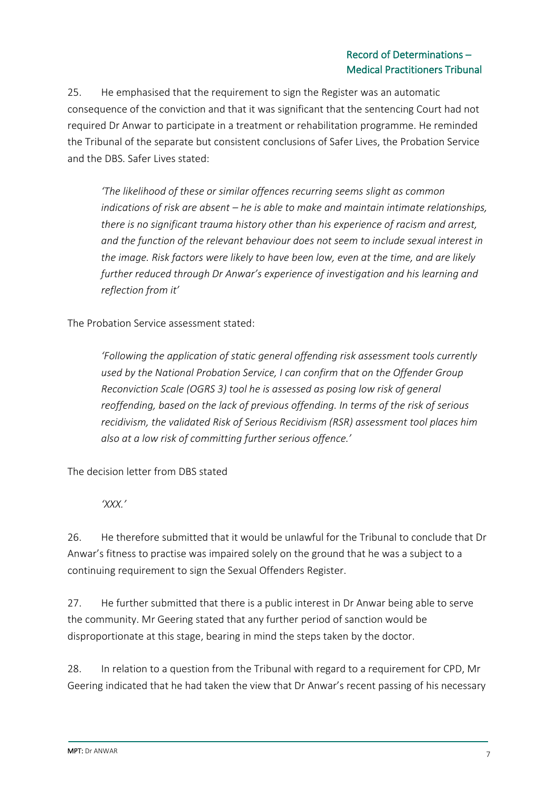25. He emphasised that the requirement to sign the Register was an automatic consequence of the conviction and that it was significant that the sentencing Court had not required Dr Anwar to participate in a treatment or rehabilitation programme. He reminded the Tribunal of the separate but consistent conclusions of Safer Lives, the Probation Service and the DBS. Safer Lives stated:

*'The likelihood of these or similar offences recurring seems slight as common indications of risk are absent – he is able to make and maintain intimate relationships, there is no significant trauma history other than his experience of racism and arrest, and the function of the relevant behaviour does not seem to include sexual interest in the image. Risk factors were likely to have been low, even at the time, and are likely further reduced through Dr Anwar's experience of investigation and his learning and reflection from it'*

The Probation Service assessment stated:

*'Following the application of static general offending risk assessment tools currently used by the National Probation Service, I can confirm that on the Offender Group Reconviction Scale (OGRS 3) tool he is assessed as posing low risk of general reoffending, based on the lack of previous offending. In terms of the risk of serious recidivism, the validated Risk of Serious Recidivism (RSR) assessment tool places him also at a low risk of committing further serious offence.'*

The decision letter from DBS stated

*'XXX.'*

26. He therefore submitted that it would be unlawful for the Tribunal to conclude that Dr Anwar's fitness to practise was impaired solely on the ground that he was a subject to a continuing requirement to sign the Sexual Offenders Register.

27. He further submitted that there is a public interest in Dr Anwar being able to serve the community. Mr Geering stated that any further period of sanction would be disproportionate at this stage, bearing in mind the steps taken by the doctor.

28. In relation to a question from the Tribunal with regard to a requirement for CPD, Mr Geering indicated that he had taken the view that Dr Anwar's recent passing of his necessary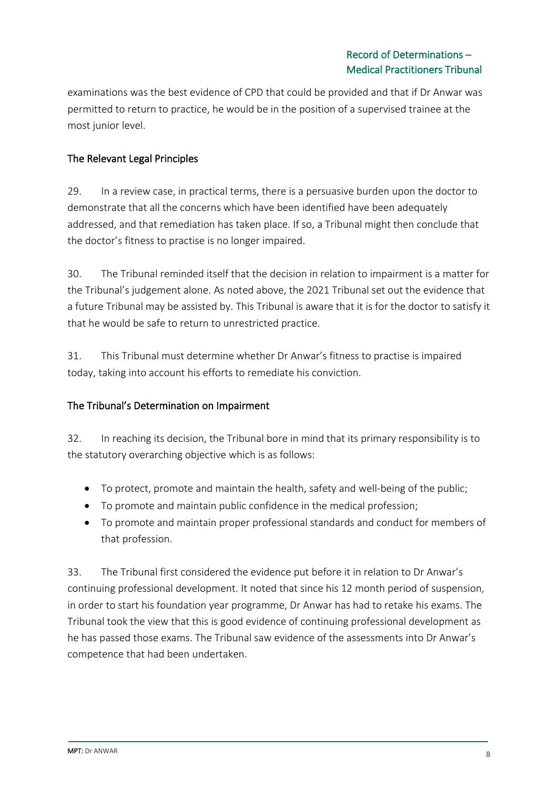examinations was the best evidence of CPD that could be provided and that if Dr Anwar was permitted to return to practice, he would be in the position of a supervised trainee at the most junior level.

# The Relevant Legal Principles

29. In a review case, in practical terms, there is a persuasive burden upon the doctor to demonstrate that all the concerns which have been identified have been adequately addressed, and that remediation has taken place. If so, a Tribunal might then conclude that the doctor's fitness to practise is no longer impaired.

30. The Tribunal reminded itself that the decision in relation to impairment is a matter for the Tribunal's judgement alone. As noted above, the 2021 Tribunal set out the evidence that a future Tribunal may be assisted by. This Tribunal is aware that it is for the doctor to satisfy it that he would be safe to return to unrestricted practice.

31. This Tribunal must determine whether Dr Anwar's fitness to practise is impaired today, taking into account his efforts to remediate his conviction.

## The Tribunal's Determination on Impairment

32. In reaching its decision, the Tribunal bore in mind that its primary responsibility is to the statutory overarching objective which is as follows:

- To protect, promote and maintain the health, safety and well-being of the public;
- To promote and maintain public confidence in the medical profession;
- To promote and maintain proper professional standards and conduct for members of that profession.

33. The Tribunal first considered the evidence put before it in relation to Dr Anwar's continuing professional development. It noted that since his 12 month period of suspension, in order to start his foundation year programme, Dr Anwar has had to retake his exams. The Tribunal took the view that this is good evidence of continuing professional development as he has passed those exams. The Tribunal saw evidence of the assessments into Dr Anwar's competence that had been undertaken.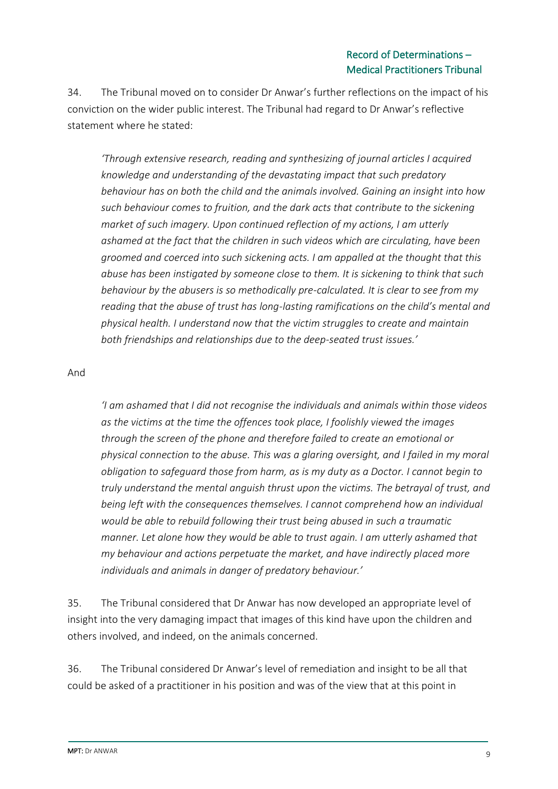34. The Tribunal moved on to consider Dr Anwar's further reflections on the impact of his conviction on the wider public interest. The Tribunal had regard to Dr Anwar's reflective statement where he stated:

*'Through extensive research, reading and synthesizing of journal articles I acquired knowledge and understanding of the devastating impact that such predatory behaviour has on both the child and the animals involved. Gaining an insight into how such behaviour comes to fruition, and the dark acts that contribute to the sickening market of such imagery. Upon continued reflection of my actions, I am utterly ashamed at the fact that the children in such videos which are circulating, have been groomed and coerced into such sickening acts. I am appalled at the thought that this abuse has been instigated by someone close to them. It is sickening to think that such behaviour by the abusers is so methodically pre-calculated. It is clear to see from my reading that the abuse of trust has long-lasting ramifications on the child's mental and physical health. I understand now that the victim struggles to create and maintain both friendships and relationships due to the deep-seated trust issues.'*

#### And

*'I am ashamed that I did not recognise the individuals and animals within those videos as the victims at the time the offences took place, I foolishly viewed the images through the screen of the phone and therefore failed to create an emotional or physical connection to the abuse. This was a glaring oversight, and I failed in my moral obligation to safeguard those from harm, as is my duty as a Doctor. I cannot begin to truly understand the mental anguish thrust upon the victims. The betrayal of trust, and being left with the consequences themselves. I cannot comprehend how an individual would be able to rebuild following their trust being abused in such a traumatic manner. Let alone how they would be able to trust again. I am utterly ashamed that my behaviour and actions perpetuate the market, and have indirectly placed more individuals and animals in danger of predatory behaviour.'*

35. The Tribunal considered that Dr Anwar has now developed an appropriate level of insight into the very damaging impact that images of this kind have upon the children and others involved, and indeed, on the animals concerned.

36. The Tribunal considered Dr Anwar's level of remediation and insight to be all that could be asked of a practitioner in his position and was of the view that at this point in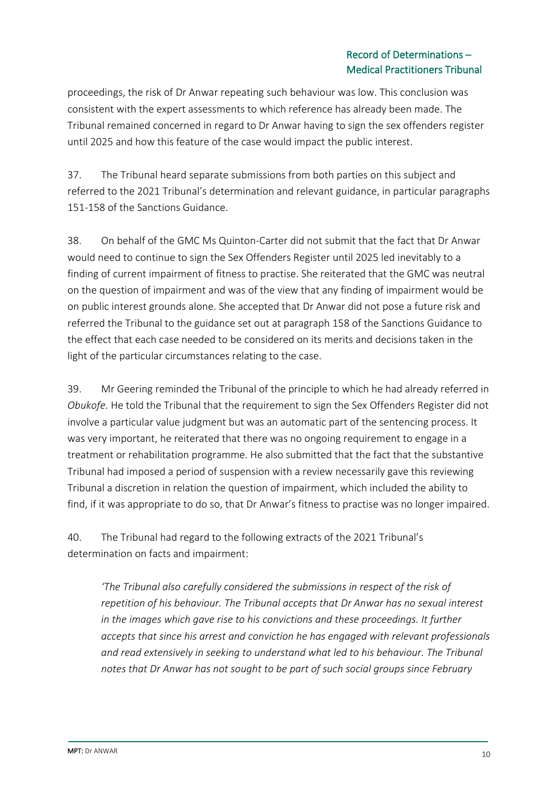proceedings, the risk of Dr Anwar repeating such behaviour was low. This conclusion was consistent with the expert assessments to which reference has already been made. The Tribunal remained concerned in regard to Dr Anwar having to sign the sex offenders register until 2025 and how this feature of the case would impact the public interest.

37. The Tribunal heard separate submissions from both parties on this subject and referred to the 2021 Tribunal's determination and relevant guidance, in particular paragraphs 151-158 of the Sanctions Guidance.

38. On behalf of the GMC Ms Quinton-Carter did not submit that the fact that Dr Anwar would need to continue to sign the Sex Offenders Register until 2025 led inevitably to a finding of current impairment of fitness to practise. She reiterated that the GMC was neutral on the question of impairment and was of the view that any finding of impairment would be on public interest grounds alone. She accepted that Dr Anwar did not pose a future risk and referred the Tribunal to the guidance set out at paragraph 158 of the Sanctions Guidance to the effect that each case needed to be considered on its merits and decisions taken in the light of the particular circumstances relating to the case.

39. Mr Geering reminded the Tribunal of the principle to which he had already referred in *Obukofe.* He told the Tribunal that the requirement to sign the Sex Offenders Register did not involve a particular value judgment but was an automatic part of the sentencing process. It was very important, he reiterated that there was no ongoing requirement to engage in a treatment or rehabilitation programme. He also submitted that the fact that the substantive Tribunal had imposed a period of suspension with a review necessarily gave this reviewing Tribunal a discretion in relation the question of impairment, which included the ability to find, if it was appropriate to do so, that Dr Anwar's fitness to practise was no longer impaired.

40. The Tribunal had regard to the following extracts of the 2021 Tribunal's determination on facts and impairment:

*'The Tribunal also carefully considered the submissions in respect of the risk of repetition of his behaviour. The Tribunal accepts that Dr Anwar has no sexual interest in the images which gave rise to his convictions and these proceedings. It further accepts that since his arrest and conviction he has engaged with relevant professionals and read extensively in seeking to understand what led to his behaviour. The Tribunal notes that Dr Anwar has not sought to be part of such social groups since February*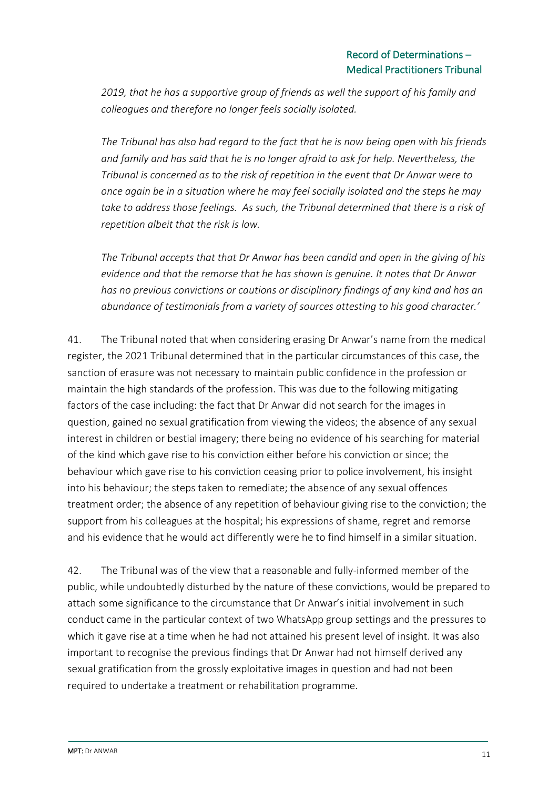*2019, that he has a supportive group of friends as well the support of his family and colleagues and therefore no longer feels socially isolated.* 

*The Tribunal has also had regard to the fact that he is now being open with his friends and family and has said that he is no longer afraid to ask for help. Nevertheless, the Tribunal is concerned as to the risk of repetition in the event that Dr Anwar were to once again be in a situation where he may feel socially isolated and the steps he may take to address those feelings. As such, the Tribunal determined that there is a risk of repetition albeit that the risk is low.* 

*The Tribunal accepts that that Dr Anwar has been candid and open in the giving of his evidence and that the remorse that he has shown is genuine. It notes that Dr Anwar has no previous convictions or cautions or disciplinary findings of any kind and has an abundance of testimonials from a variety of sources attesting to his good character.'*

41. The Tribunal noted that when considering erasing Dr Anwar's name from the medical register, the 2021 Tribunal determined that in the particular circumstances of this case, the sanction of erasure was not necessary to maintain public confidence in the profession or maintain the high standards of the profession. This was due to the following mitigating factors of the case including: the fact that Dr Anwar did not search for the images in question, gained no sexual gratification from viewing the videos; the absence of any sexual interest in children or bestial imagery; there being no evidence of his searching for material of the kind which gave rise to his conviction either before his conviction or since; the behaviour which gave rise to his conviction ceasing prior to police involvement, his insight into his behaviour; the steps taken to remediate; the absence of any sexual offences treatment order; the absence of any repetition of behaviour giving rise to the conviction; the support from his colleagues at the hospital; his expressions of shame, regret and remorse and his evidence that he would act differently were he to find himself in a similar situation.

42. The Tribunal was of the view that a reasonable and fully-informed member of the public, while undoubtedly disturbed by the nature of these convictions, would be prepared to attach some significance to the circumstance that Dr Anwar's initial involvement in such conduct came in the particular context of two WhatsApp group settings and the pressures to which it gave rise at a time when he had not attained his present level of insight. It was also important to recognise the previous findings that Dr Anwar had not himself derived any sexual gratification from the grossly exploitative images in question and had not been required to undertake a treatment or rehabilitation programme.